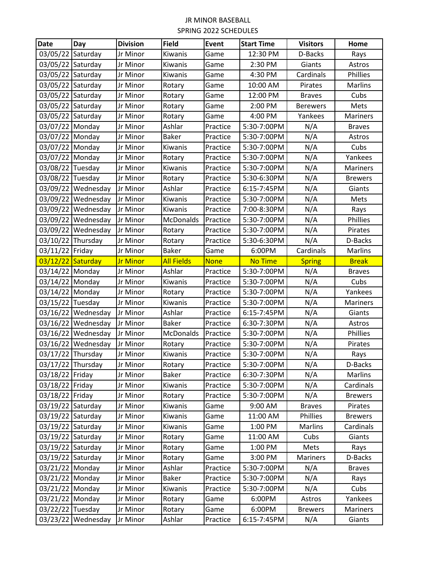| <b>Date</b>       | Day                | <b>Division</b> | Field             | Event       | <b>Start Time</b> | <b>Visitors</b> | Home            |
|-------------------|--------------------|-----------------|-------------------|-------------|-------------------|-----------------|-----------------|
| 03/05/22          | Saturday           | Jr Minor        | Kiwanis           | Game        | 12:30 PM          | D-Backs         | Rays            |
| 03/05/22          | Saturday           | Jr Minor        | Kiwanis           | Game        | 2:30 PM           | Giants          | Astros          |
| 03/05/22          | Saturday           | Jr Minor        | Kiwanis           | Game        | 4:30 PM           | Cardinals       | Phillies        |
| 03/05/22 Saturday |                    | Jr Minor        | Rotary            | Game        | 10:00 AM          | Pirates         | <b>Marlins</b>  |
| 03/05/22 Saturday |                    | Jr Minor        | Rotary            | Game        | 12:00 PM          | <b>Braves</b>   | Cubs            |
| 03/05/22          | Saturday           | Jr Minor        | Rotary            | Game        | 2:00 PM           | <b>Berewers</b> | Mets            |
| 03/05/22          | Saturday           | Jr Minor        | Rotary            | Game        | 4:00 PM           | Yankees         | <b>Mariners</b> |
| 03/07/22 Monday   |                    | Jr Minor        | Ashlar            | Practice    | 5:30-7:00PM       | N/A             | <b>Braves</b>   |
| 03/07/22 Monday   |                    | Jr Minor        | <b>Baker</b>      | Practice    | 5:30-7:00PM       | N/A             | Astros          |
| 03/07/22 Monday   |                    | Jr Minor        | Kiwanis           | Practice    | 5:30-7:00PM       | N/A             | Cubs            |
| 03/07/22 Monday   |                    | Jr Minor        | Rotary            | Practice    | 5:30-7:00PM       | N/A             | Yankees         |
| 03/08/22          | Tuesday            | Jr Minor        | Kiwanis           | Practice    | 5:30-7:00PM       | N/A             | Mariners        |
| 03/08/22 Tuesday  |                    | Jr Minor        | Rotary            | Practice    | 5:30-6:30PM       | N/A             | <b>Brewers</b>  |
|                   | 03/09/22 Wednesday | Jr Minor        | Ashlar            | Practice    | 6:15-7:45PM       | N/A             | Giants          |
|                   | 03/09/22 Wednesday | Jr Minor        | Kiwanis           | Practice    | 5:30-7:00PM       | N/A             | Mets            |
| 03/09/22          | Wednesday          | Jr Minor        | Kiwanis           | Practice    | 7:00-8:30PM       | N/A             | Rays            |
|                   | 03/09/22 Wednesday | Jr Minor        | McDonalds         | Practice    | 5:30-7:00PM       | N/A             | Phillies        |
|                   | 03/09/22 Wednesday | Jr Minor        | Rotary            | Practice    | 5:30-7:00PM       | N/A             | Pirates         |
| 03/10/22 Thursday |                    | Jr Minor        | Rotary            | Practice    | 5:30-6:30PM       | N/A             | D-Backs         |
| 03/11/22 Friday   |                    | Jr Minor        | <b>Baker</b>      | Game        | 6:00PM            | Cardinals       | <b>Marlins</b>  |
| 03/12/22          | Saturday           | <b>Jr Minor</b> | <b>All Fields</b> | <b>None</b> | <b>No Time</b>    | <b>Spring</b>   | <b>Break</b>    |
| 03/14/22 Monday   |                    | Jr Minor        | Ashlar            | Practice    | 5:30-7:00PM       | N/A             | <b>Braves</b>   |
| 03/14/22 Monday   |                    | Jr Minor        | Kiwanis           | Practice    | 5:30-7:00PM       | N/A             | Cubs            |
| 03/14/22 Monday   |                    | Jr Minor        | Rotary            | Practice    | 5:30-7:00PM       | N/A             | Yankees         |
| 03/15/22 Tuesday  |                    | Jr Minor        | Kiwanis           | Practice    | 5:30-7:00PM       | N/A             | Mariners        |
| 03/16/22          | Wednesday          | Jr Minor        | Ashlar            | Practice    | 6:15-7:45PM       | N/A             | Giants          |
| 03/16/22          | Wednesday          | Jr Minor        | <b>Baker</b>      | Practice    | 6:30-7:30PM       | N/A             | Astros          |
|                   | 03/16/22 Wednesday | Jr Minor        | McDonalds         | Practice    | 5:30-7:00PM       | N/A             | Phillies        |
| 03/16/22          | Wednesday          | Jr Minor        | Rotary            | Practice    | 5:30-7:00PM       | N/A             | Pirates         |
| 03/17/22 Thursday |                    | Jr Minor        | Kiwanis           | Practice    | 5:30-7:00PM       | N/A             | Rays            |
| 03/17/22 Thursday |                    | Jr Minor        | Rotary            | Practice    | 5:30-7:00PM       | N/A             | D-Backs         |
| 03/18/22 Friday   |                    | Jr Minor        | <b>Baker</b>      | Practice    | 6:30-7:30PM       | N/A             | Marlins         |
| 03/18/22 Friday   |                    | Jr Minor        | Kiwanis           | Practice    | 5:30-7:00PM       | N/A             | Cardinals       |
| 03/18/22 Friday   |                    | Jr Minor        | Rotary            | Practice    | 5:30-7:00PM       | N/A             | <b>Brewers</b>  |
| 03/19/22 Saturday |                    | Jr Minor        | Kiwanis           | Game        | 9:00 AM           | <b>Braves</b>   | Pirates         |
| 03/19/22 Saturday |                    | Jr Minor        | Kiwanis           | Game        | 11:00 AM          | Phillies        | <b>Brewers</b>  |
| 03/19/22 Saturday |                    | Jr Minor        | Kiwanis           | Game        | 1:00 PM           | <b>Marlins</b>  | Cardinals       |
| 03/19/22 Saturday |                    | Jr Minor        | Rotary            | Game        | 11:00 AM          | Cubs            | Giants          |
| 03/19/22 Saturday |                    | Jr Minor        | Rotary            | Game        | 1:00 PM           | Mets            | Rays            |
| 03/19/22 Saturday |                    | Jr Minor        | Rotary            | Game        | 3:00 PM           | Mariners        | D-Backs         |
| 03/21/22 Monday   |                    | Jr Minor        | Ashlar            | Practice    | 5:30-7:00PM       | N/A             | <b>Braves</b>   |
| 03/21/22 Monday   |                    | Jr Minor        | Baker             | Practice    | 5:30-7:00PM       | N/A             | Rays            |
| 03/21/22 Monday   |                    | Jr Minor        | Kiwanis           | Practice    | 5:30-7:00PM       | N/A             | Cubs            |
| 03/21/22 Monday   |                    | Jr Minor        | Rotary            | Game        | 6:00PM            | Astros          | Yankees         |
| 03/22/22 Tuesday  |                    | Jr Minor        | Rotary            | Game        | 6:00PM            | <b>Brewers</b>  | Mariners        |
|                   | 03/23/22 Wednesday | Jr Minor        | Ashlar            | Practice    | 6:15-7:45PM       | N/A             | Giants          |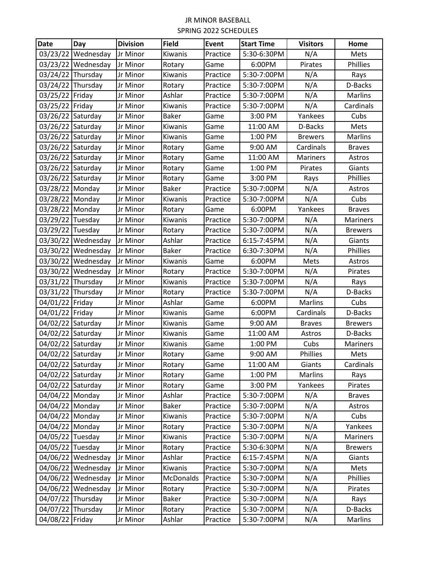| <b>Date</b>       | Day                | <b>Division</b> | <b>Field</b> | <b>Event</b> | <b>Start Time</b> | <b>Visitors</b> | Home            |
|-------------------|--------------------|-----------------|--------------|--------------|-------------------|-----------------|-----------------|
| 03/23/22          | Wednesday          | Jr Minor        | Kiwanis      | Practice     | 5:30-6:30PM       | N/A             | Mets            |
| 03/23/22          | Wednesday          | Jr Minor        | Rotary       | Game         | 6:00PM            | Pirates         | Phillies        |
| 03/24/22          | Thursday           | Jr Minor        | Kiwanis      | Practice     | 5:30-7:00PM       | N/A             | Rays            |
| 03/24/22 Thursday |                    | Jr Minor        | Rotary       | Practice     | 5:30-7:00PM       | N/A             | D-Backs         |
| 03/25/22 Friday   |                    | Jr Minor        | Ashlar       | Practice     | 5:30-7:00PM       | N/A             | <b>Marlins</b>  |
| 03/25/22          | Friday             | Jr Minor        | Kiwanis      | Practice     | 5:30-7:00PM       | N/A             | Cardinals       |
| 03/26/22          | Saturday           | Jr Minor        | <b>Baker</b> | Game         | 3:00 PM           | Yankees         | Cubs            |
| 03/26/22          | Saturday           | Jr Minor        | Kiwanis      | Game         | 11:00 AM          | D-Backs         | Mets            |
| 03/26/22 Saturday |                    | Jr Minor        | Kiwanis      | Game         | 1:00 PM           | <b>Brewers</b>  | <b>Marlins</b>  |
| 03/26/22          | Saturday           | Jr Minor        | Rotary       | Game         | 9:00 AM           | Cardinals       | <b>Braves</b>   |
| 03/26/22          | Saturday           | Jr Minor        | Rotary       | Game         | 11:00 AM          | <b>Mariners</b> | Astros          |
| 03/26/22 Saturday |                    | Jr Minor        | Rotary       | Game         | 1:00 PM           | Pirates         | Giants          |
| 03/26/22 Saturday |                    | Jr Minor        | Rotary       | Game         | 3:00 PM           | Rays            | Phillies        |
| 03/28/22 Monday   |                    | Jr Minor        | <b>Baker</b> | Practice     | 5:30-7:00PM       | N/A             | Astros          |
| 03/28/22 Monday   |                    | Jr Minor        | Kiwanis      | Practice     | 5:30-7:00PM       | N/A             | Cubs            |
| 03/28/22 Monday   |                    | Jr Minor        | Rotary       | Game         | 6:00PM            | Yankees         | <b>Braves</b>   |
| 03/29/22 Tuesday  |                    | Jr Minor        | Kiwanis      | Practice     | 5:30-7:00PM       | N/A             | <b>Mariners</b> |
| 03/29/22 Tuesday  |                    | Jr Minor        | Rotary       | Practice     | 5:30-7:00PM       | N/A             | <b>Brewers</b>  |
|                   | 03/30/22 Wednesday | Jr Minor        | Ashlar       | Practice     | 6:15-7:45PM       | N/A             | Giants          |
| 03/30/22          | Wednesday          | Jr Minor        | Baker        | Practice     | 6:30-7:30PM       | N/A             | Phillies        |
|                   | 03/30/22 Wednesday | Jr Minor        | Kiwanis      | Game         | 6:00PM            | Mets            | Astros          |
|                   | 03/30/22 Wednesday | Jr Minor        | Rotary       | Practice     | 5:30-7:00PM       | N/A             | Pirates         |
| 03/31/22 Thursday |                    | Jr Minor        | Kiwanis      | Practice     | 5:30-7:00PM       | N/A             | Rays            |
| 03/31/22 Thursday |                    | Jr Minor        | Rotary       | Practice     | 5:30-7:00PM       | N/A             | D-Backs         |
| 04/01/22          | Friday             | Jr Minor        | Ashlar       | Game         | 6:00PM            | Marlins         | Cubs            |
| 04/01/22          | Friday             | Jr Minor        | Kiwanis      | Game         | 6:00PM            | Cardinals       | D-Backs         |
| 04/02/22 Saturday |                    | Jr Minor        | Kiwanis      | Game         | 9:00 AM           | <b>Braves</b>   | <b>Brewers</b>  |
| 04/02/22          | Saturday           | Jr Minor        | Kiwanis      | Game         | 11:00 AM          | Astros          | D-Backs         |
| 04/02/22          | Saturday           | Jr Minor        | Kiwanis      | Game         | 1:00 PM           | Cubs            | Mariners        |
| 04/02/22 Saturday |                    | Jr Minor        | Rotary       | Game         | 9:00 AM           | Phillies        | Mets            |
| 04/02/22 Saturday |                    | Jr Minor        | Rotary       | Game         | 11:00 AM          | Giants          | Cardinals       |
| 04/02/22 Saturday |                    | Jr Minor        | Rotary       | Game         | 1:00 PM           | Marlins         | Rays            |
| 04/02/22 Saturday |                    | Jr Minor        | Rotary       | Game         | 3:00 PM           | Yankees         | Pirates         |
| 04/04/22 Monday   |                    | Jr Minor        | Ashlar       | Practice     | 5:30-7:00PM       | N/A             | <b>Braves</b>   |
| 04/04/22 Monday   |                    | Jr Minor        | <b>Baker</b> | Practice     | 5:30-7:00PM       | N/A             | Astros          |
| 04/04/22 Monday   |                    | Jr Minor        | Kiwanis      | Practice     | 5:30-7:00PM       | N/A             | Cubs            |
| 04/04/22 Monday   |                    | Jr Minor        | Rotary       | Practice     | 5:30-7:00PM       | N/A             | Yankees         |
| 04/05/22 Tuesday  |                    | Jr Minor        | Kiwanis      | Practice     | 5:30-7:00PM       | N/A             | Mariners        |
| 04/05/22 Tuesday  |                    | Jr Minor        | Rotary       | Practice     | 5:30-6:30PM       | N/A             | <b>Brewers</b>  |
|                   | 04/06/22 Wednesday | Jr Minor        | Ashlar       | Practice     | 6:15-7:45PM       | N/A             | Giants          |
|                   | 04/06/22 Wednesday | Jr Minor        | Kiwanis      | Practice     | 5:30-7:00PM       | N/A             | Mets            |
|                   | 04/06/22 Wednesday | Jr Minor        | McDonalds    | Practice     | 5:30-7:00PM       | N/A             | Phillies        |
|                   | 04/06/22 Wednesday | Jr Minor        | Rotary       | Practice     | 5:30-7:00PM       | N/A             | Pirates         |
| 04/07/22 Thursday |                    | Jr Minor        | <b>Baker</b> | Practice     | 5:30-7:00PM       | N/A             | Rays            |
| 04/07/22 Thursday |                    | Jr Minor        | Rotary       | Practice     | 5:30-7:00PM       | N/A             | D-Backs         |
| 04/08/22 Friday   |                    | Jr Minor        | Ashlar       | Practice     | 5:30-7:00PM       | N/A             | Marlins         |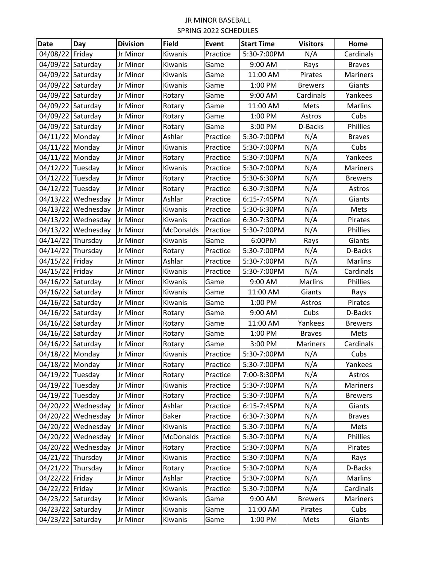| <b>Date</b>       | Day                | <b>Division</b> | <b>Field</b>     | <b>Event</b> | <b>Start Time</b> | <b>Visitors</b> | Home           |
|-------------------|--------------------|-----------------|------------------|--------------|-------------------|-----------------|----------------|
| 04/08/22          | Friday             | Jr Minor        | Kiwanis          | Practice     | 5:30-7:00PM       | N/A             | Cardinals      |
| 04/09/22          | Saturday           | Jr Minor        | Kiwanis          | Game         | 9:00 AM           | Rays            | <b>Braves</b>  |
| 04/09/22 Saturday |                    | Jr Minor        | Kiwanis          | Game         | 11:00 AM          | Pirates         | Mariners       |
| 04/09/22 Saturday |                    | Jr Minor        | Kiwanis          | Game         | 1:00 PM           | <b>Brewers</b>  | Giants         |
| 04/09/22 Saturday |                    | Jr Minor        | Rotary           | Game         | 9:00 AM           | Cardinals       | Yankees        |
| 04/09/22          | Saturday           | Jr Minor        | Rotary           | Game         | 11:00 AM          | Mets            | Marlins        |
| 04/09/22          | Saturday           | Jr Minor        | Rotary           | Game         | 1:00 PM           | Astros          | Cubs           |
| 04/09/22          | Saturday           | Jr Minor        | Rotary           | Game         | 3:00 PM           | D-Backs         | Phillies       |
| 04/11/22 Monday   |                    | Jr Minor        | Ashlar           | Practice     | 5:30-7:00PM       | N/A             | <b>Braves</b>  |
| 04/11/22 Monday   |                    | Jr Minor        | Kiwanis          | Practice     | 5:30-7:00PM       | N/A             | Cubs           |
| 04/11/22 Monday   |                    | Jr Minor        | Rotary           | Practice     | 5:30-7:00PM       | N/A             | Yankees        |
| 04/12/22 Tuesday  |                    | Jr Minor        | Kiwanis          | Practice     | 5:30-7:00PM       | N/A             | Mariners       |
| 04/12/22 Tuesday  |                    | Jr Minor        | Rotary           | Practice     | 5:30-6:30PM       | N/A             | <b>Brewers</b> |
| 04/12/22 Tuesday  |                    | Jr Minor        | Rotary           | Practice     | 6:30-7:30PM       | N/A             | Astros         |
|                   | 04/13/22 Wednesday | Jr Minor        | Ashlar           | Practice     | 6:15-7:45PM       | N/A             | Giants         |
| 04/13/22          | Wednesday          | Jr Minor        | Kiwanis          | Practice     | 5:30-6:30PM       | N/A             | Mets           |
| 04/13/22          | Wednesday          | Jr Minor        | Kiwanis          | Practice     | 6:30-7:30PM       | N/A             | Pirates        |
| 04/13/22          | Wednesday          | Jr Minor        | McDonalds        | Practice     | 5:30-7:00PM       | N/A             | Phillies       |
| 04/14/22 Thursday |                    | Jr Minor        | Kiwanis          | Game         | 6:00PM            | Rays            | Giants         |
| 04/14/22 Thursday |                    | Jr Minor        | Rotary           | Practice     | 5:30-7:00PM       | N/A             | D-Backs        |
| 04/15/22          | Friday             | Jr Minor        | Ashlar           | Practice     | 5:30-7:00PM       | N/A             | <b>Marlins</b> |
| 04/15/22 Friday   |                    | Jr Minor        | Kiwanis          | Practice     | 5:30-7:00PM       | N/A             | Cardinals      |
| 04/16/22 Saturday |                    | Jr Minor        | Kiwanis          | Game         | 9:00 AM           | Marlins         | Phillies       |
| 04/16/22          | Saturday           | Jr Minor        | Kiwanis          | Game         | 11:00 AM          | Giants          | Rays           |
| 04/16/22          | Saturday           | Jr Minor        | Kiwanis          | Game         | 1:00 PM           | Astros          | Pirates        |
| 04/16/22          | Saturday           | Jr Minor        | Rotary           | Game         | 9:00 AM           | Cubs            | D-Backs        |
| 04/16/22          | Saturday           | Jr Minor        | Rotary           | Game         | 11:00 AM          | Yankees         | <b>Brewers</b> |
| 04/16/22 Saturday |                    | Jr Minor        | Rotary           | Game         | 1:00 PM           | <b>Braves</b>   | Mets           |
| 04/16/22 Saturday |                    | Jr Minor        | Rotary           | Game         | 3:00 PM           | Mariners        | Cardinals      |
| 04/18/22 Monday   |                    | Jr Minor        | Kiwanis          | Practice     | 5:30-7:00PM       | N/A             | Cubs           |
| 04/18/22 Monday   |                    | Jr Minor        | Rotary           | Practice     | 5:30-7:00PM       | N/A             | Yankees        |
| 04/19/22 Tuesday  |                    | Jr Minor        | Rotary           | Practice     | 7:00-8:30PM       | N/A             | Astros         |
| 04/19/22 Tuesday  |                    | Jr Minor        | Kiwanis          | Practice     | 5:30-7:00PM       | N/A             | Mariners       |
| 04/19/22 Tuesday  |                    | Jr Minor        | Rotary           | Practice     | 5:30-7:00PM       | N/A             | <b>Brewers</b> |
|                   | 04/20/22 Wednesday | Jr Minor        | Ashlar           | Practice     | 6:15-7:45PM       | N/A             | Giants         |
|                   | 04/20/22 Wednesday | Jr Minor        | <b>Baker</b>     | Practice     | 6:30-7:30PM       | N/A             | <b>Braves</b>  |
|                   | 04/20/22 Wednesday | Jr Minor        | Kiwanis          | Practice     | 5:30-7:00PM       | N/A             | Mets           |
|                   | 04/20/22 Wednesday | Jr Minor        | <b>McDonalds</b> | Practice     | 5:30-7:00PM       | N/A             | Phillies       |
|                   | 04/20/22 Wednesday | Jr Minor        | Rotary           | Practice     | 5:30-7:00PM       | N/A             | Pirates        |
| 04/21/22 Thursday |                    | Jr Minor        | Kiwanis          | Practice     | 5:30-7:00PM       | N/A             | Rays           |
| 04/21/22 Thursday |                    | Jr Minor        | Rotary           | Practice     | 5:30-7:00PM       | N/A             | D-Backs        |
| 04/22/22 Friday   |                    | Jr Minor        | Ashlar           | Practice     | 5:30-7:00PM       | N/A             | Marlins        |
| 04/22/22          | Friday             | Jr Minor        | Kiwanis          | Practice     | 5:30-7:00PM       | N/A             | Cardinals      |
| 04/23/22 Saturday |                    | Jr Minor        | Kiwanis          | Game         | 9:00 AM           | <b>Brewers</b>  | Mariners       |
| 04/23/22 Saturday |                    | Jr Minor        | Kiwanis          | Game         | 11:00 AM          | Pirates         | Cubs           |
| 04/23/22 Saturday |                    | Jr Minor        | Kiwanis          | Game         | 1:00 PM           | Mets            | Giants         |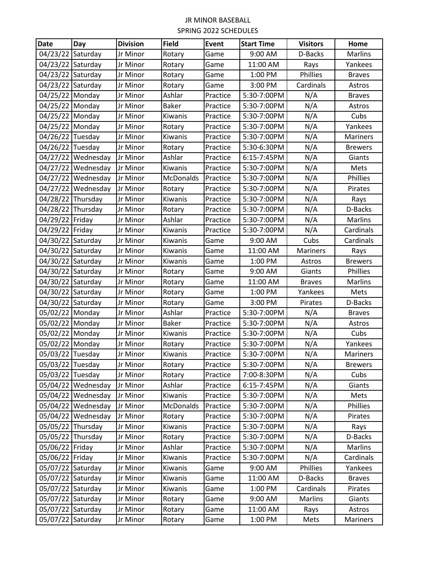| <b>Date</b>       | Day                | <b>Division</b> | <b>Field</b> | <b>Event</b> | <b>Start Time</b> | <b>Visitors</b> | Home           |
|-------------------|--------------------|-----------------|--------------|--------------|-------------------|-----------------|----------------|
| 04/23/22          | Saturday           | Jr Minor        | Rotary       | Game         | 9:00 AM           | D-Backs         | <b>Marlins</b> |
| 04/23/22 Saturday |                    | Jr Minor        | Rotary       | Game         | 11:00 AM          | Rays            | Yankees        |
| 04/23/22 Saturday |                    | Jr Minor        | Rotary       | Game         | 1:00 PM           | Phillies        | <b>Braves</b>  |
| 04/23/22 Saturday |                    | Jr Minor        | Rotary       | Game         | 3:00 PM           | Cardinals       | Astros         |
| 04/25/22 Monday   |                    | Jr Minor        | Ashlar       | Practice     | 5:30-7:00PM       | N/A             | <b>Braves</b>  |
| 04/25/22 Monday   |                    | Jr Minor        | <b>Baker</b> | Practice     | 5:30-7:00PM       | N/A             | Astros         |
| 04/25/22          | Monday             | Jr Minor        | Kiwanis      | Practice     | 5:30-7:00PM       | N/A             | Cubs           |
| 04/25/22 Monday   |                    | Jr Minor        | Rotary       | Practice     | 5:30-7:00PM       | N/A             | Yankees        |
| 04/26/22 Tuesday  |                    | Jr Minor        | Kiwanis      | Practice     | 5:30-7:00PM       | N/A             | Mariners       |
| 04/26/22 Tuesday  |                    | Jr Minor        | Rotary       | Practice     | 5:30-6:30PM       | N/A             | <b>Brewers</b> |
|                   | 04/27/22 Wednesday | Jr Minor        | Ashlar       | Practice     | 6:15-7:45PM       | N/A             | Giants         |
|                   | 04/27/22 Wednesday | Jr Minor        | Kiwanis      | Practice     | 5:30-7:00PM       | N/A             | Mets           |
|                   | 04/27/22 Wednesday | Jr Minor        | McDonalds    | Practice     | 5:30-7:00PM       | N/A             | Phillies       |
|                   | 04/27/22 Wednesday | Jr Minor        | Rotary       | Practice     | 5:30-7:00PM       | N/A             | Pirates        |
| 04/28/22 Thursday |                    | Jr Minor        | Kiwanis      | Practice     | 5:30-7:00PM       | N/A             | Rays           |
| 04/28/22 Thursday |                    | Jr Minor        | Rotary       | Practice     | 5:30-7:00PM       | N/A             | D-Backs        |
| 04/29/22 Friday   |                    | Jr Minor        | Ashlar       | Practice     | 5:30-7:00PM       | N/A             | <b>Marlins</b> |
| 04/29/22 Friday   |                    | Jr Minor        | Kiwanis      | Practice     | 5:30-7:00PM       | N/A             | Cardinals      |
| 04/30/22 Saturday |                    | Jr Minor        | Kiwanis      | Game         | 9:00 AM           | Cubs            | Cardinals      |
| 04/30/22 Saturday |                    | Jr Minor        | Kiwanis      | Game         | 11:00 AM          | Mariners        | Rays           |
| 04/30/22 Saturday |                    | Jr Minor        | Kiwanis      | Game         | 1:00 PM           | Astros          | <b>Brewers</b> |
| 04/30/22 Saturday |                    | Jr Minor        | Rotary       | Game         | 9:00 AM           | Giants          | Phillies       |
| 04/30/22 Saturday |                    | Jr Minor        | Rotary       | Game         | 11:00 AM          | <b>Braves</b>   | <b>Marlins</b> |
| 04/30/22 Saturday |                    | Jr Minor        | Rotary       | Game         | 1:00 PM           | Yankees         | Mets           |
| 04/30/22 Saturday |                    | Jr Minor        | Rotary       | Game         | 3:00 PM           | Pirates         | D-Backs        |
| 05/02/22          | Monday             | Jr Minor        | Ashlar       | Practice     | 5:30-7:00PM       | N/A             | <b>Braves</b>  |
| 05/02/22 Monday   |                    | Jr Minor        | <b>Baker</b> | Practice     | 5:30-7:00PM       | N/A             | Astros         |
| 05/02/22 Monday   |                    | Jr Minor        | Kiwanis      | Practice     | 5:30-7:00PM       | N/A             | Cubs           |
| 05/02/22 Monday   |                    | Jr Minor        | Rotary       | Practice     | 5:30-7:00PM       | N/A             | Yankees        |
| 05/03/22 Tuesday  |                    | Jr Minor        | Kiwanis      | Practice     | 5:30-7:00PM       | N/A             | Mariners       |
| 05/03/22 Tuesday  |                    | Jr Minor        | Rotary       | Practice     | 5:30-7:00PM       | N/A             | <b>Brewers</b> |
| 05/03/22 Tuesday  |                    | Jr Minor        | Rotary       | Practice     | 7:00-8:30PM       | N/A             | Cubs           |
|                   | 05/04/22 Wednesday | Jr Minor        | Ashlar       | Practice     | 6:15-7:45PM       | N/A             | Giants         |
|                   | 05/04/22 Wednesday | Jr Minor        | Kiwanis      | Practice     | 5:30-7:00PM       | N/A             | Mets           |
|                   | 05/04/22 Wednesday | Jr Minor        | McDonalds    | Practice     | 5:30-7:00PM       | N/A             | Phillies       |
|                   | 05/04/22 Wednesday | Jr Minor        | Rotary       | Practice     | 5:30-7:00PM       | N/A             | Pirates        |
| 05/05/22 Thursday |                    | Jr Minor        | Kiwanis      | Practice     | 5:30-7:00PM       | N/A             | Rays           |
| 05/05/22 Thursday |                    | Jr Minor        | Rotary       | Practice     | 5:30-7:00PM       | N/A             | D-Backs        |
| 05/06/22 Friday   |                    | Jr Minor        | Ashlar       | Practice     | 5:30-7:00PM       | N/A             | Marlins        |
| 05/06/22 Friday   |                    | Jr Minor        | Kiwanis      | Practice     | 5:30-7:00PM       | N/A             | Cardinals      |
| 05/07/22 Saturday |                    | Jr Minor        | Kiwanis      | Game         | 9:00 AM           | Phillies        | Yankees        |
| 05/07/22 Saturday |                    | Jr Minor        | Kiwanis      | Game         | 11:00 AM          | D-Backs         | <b>Braves</b>  |
| 05/07/22 Saturday |                    | Jr Minor        | Kiwanis      | Game         | 1:00 PM           | Cardinals       | Pirates        |
| 05/07/22 Saturday |                    | Jr Minor        | Rotary       | Game         | 9:00 AM           | Marlins         | Giants         |
| 05/07/22 Saturday |                    | Jr Minor        | Rotary       | Game         | 11:00 AM          | Rays            | Astros         |
| 05/07/22 Saturday |                    | Jr Minor        | Rotary       | Game         | 1:00 PM           | Mets            | Mariners       |